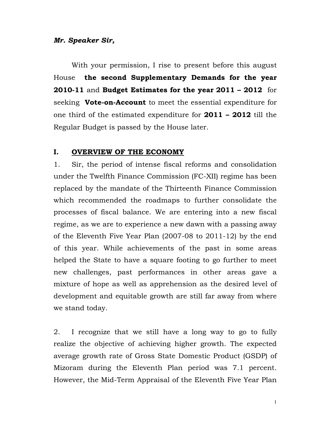# Mr. Speaker Sir,

With your permission, I rise to present before this august House the second Supplementary Demands for the year 2010-11 and Budget Estimates for the year  $2011 - 2012$  for seeking Vote-on-Account to meet the essential expenditure for one third of the estimated expenditure for 2011 - 2012 till the Regular Budget is passed by the House later.

#### I. **OVERVIEW OF THE ECONOMY**

 $1<sub>1</sub>$ Sir, the period of intense fiscal reforms and consolidation under the Twelfth Finance Commission (FC-XII) regime has been replaced by the mandate of the Thirteenth Finance Commission which recommended the roadmaps to further consolidate the processes of fiscal balance. We are entering into a new fiscal regime, as we are to experience a new dawn with a passing away of the Eleventh Five Year Plan (2007-08 to 2011-12) by the end of this year. While achievements of the past in some areas helped the State to have a square footing to go further to meet new challenges, past performances in other areas gave a mixture of hope as well as apprehension as the desired level of development and equitable growth are still far away from where we stand today.

 $2.$ I recognize that we still have a long way to go to fully realize the objective of achieving higher growth. The expected average growth rate of Gross State Domestic Product (GSDP) of Mizoram during the Eleventh Plan period was 7.1 percent. However, the Mid-Term Appraisal of the Eleventh Five Year Plan

 $\mathbf{1}$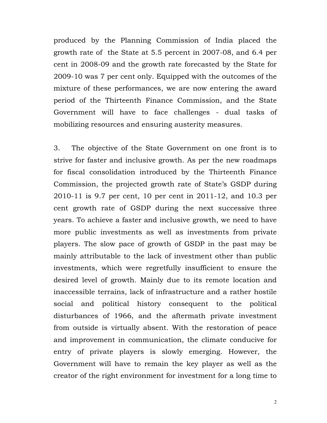produced by the Planning Commission of India placed the growth rate of the State at 5.5 percent in 2007-08, and 6.4 per cent in 2008-09 and the growth rate forecasted by the State for 2009-10 was 7 per cent only. Equipped with the outcomes of the mixture of these performances, we are now entering the award period of the Thirteenth Finance Commission, and the State Government will have to face challenges - dual tasks of mobilizing resources and ensuring austerity measures.

3. The objective of the State Government on one front is to strive for faster and inclusive growth. As per the new roadmaps for fiscal consolidation introduced by the Thirteenth Finance Commission, the projected growth rate of State's GSDP during 2010-11 is 9.7 per cent, 10 per cent in 2011-12, and 10.3 per cent growth rate of GSDP during the next successive three years. To achieve a faster and inclusive growth, we need to have more public investments as well as investments from private players. The slow pace of growth of GSDP in the past may be mainly attributable to the lack of investment other than public investments, which were regretfully insufficient to ensure the desired level of growth. Mainly due to its remote location and inaccessible terrains, lack of infrastructure and a rather hostile social and political history consequent to the political disturbances of 1966, and the aftermath private investment from outside is virtually absent. With the restoration of peace and improvement in communication, the climate conducive for entry of private players is slowly emerging. However, the Government will have to remain the key player as well as the creator of the right environment for investment for a long time to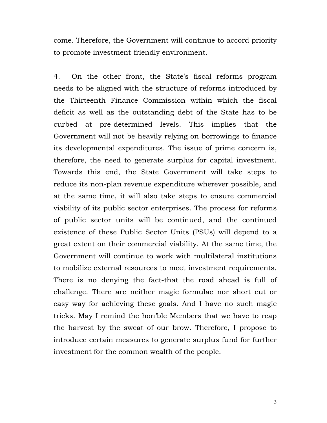come. Therefore, the Government will continue to accord priority to promote investment-friendly environment.

 $4.$ On the other front, the State's fiscal reforms program needs to be aligned with the structure of reforms introduced by the Thirteenth Finance Commission within which the fiscal deficit as well as the outstanding debt of the State has to be curbed at pre-determined levels. This implies that the Government will not be heavily relying on borrowings to finance its developmental expenditures. The issue of prime concern is, therefore, the need to generate surplus for capital investment. Towards this end, the State Government will take steps to reduce its non-plan revenue expenditure wherever possible, and at the same time, it will also take steps to ensure commercial viability of its public sector enterprises. The process for reforms of public sector units will be continued, and the continued existence of these Public Sector Units (PSUs) will depend to a great extent on their commercial viability. At the same time, the Government will continue to work with multilateral institutions to mobilize external resources to meet investment requirements. There is no denying the fact-that the road ahead is full of challenge. There are neither magic formulae nor short cut or easy way for achieving these goals. And I have no such magic tricks. May I remind the hon'ble Members that we have to reap the harvest by the sweat of our brow. Therefore, I propose to introduce certain measures to generate surplus fund for further investment for the common wealth of the people.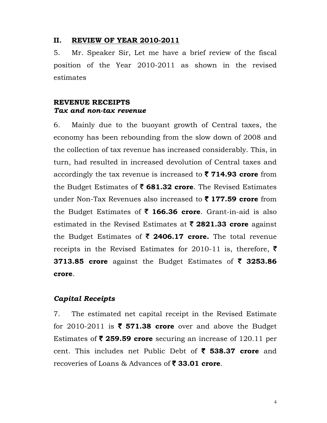#### II. **REVIEW OF YEAR 2010-2011**

 $5<sub>1</sub>$ Mr. Speaker Sir, Let me have a brief review of the fiscal position of the Year 2010-2011 as shown in the revised estimates

# **REVENUE RECEIPTS** Tax and non-tax revenue

6. Mainly due to the buoyant growth of Central taxes, the economy has been rebounding from the slow down of 2008 and the collection of tax revenue has increased considerably. This, in turn, had resulted in increased devolution of Central taxes and accordingly the tax revenue is increased to  $\bar{z}$  714.93 crore from the Budget Estimates of  $\bar{\tau}$  681.32 crore. The Revised Estimates under Non-Tax Revenues also increased to  $\bar{\tau}$  177.59 crore from the Budget Estimates of  $\bar{\tau}$  166.36 crore. Grant-in-aid is also estimated in the Revised Estimates at  $\bar{\tau}$  2821.33 crore against the Budget Estimates of  $\bar{\tau}$  2406.17 crore. The total revenue receipts in the Revised Estimates for 2010-11 is, therefore,  $\bar{\tau}$ 3713.85 crore against the Budget Estimates of  $\bar{\tau}$  3253.86 crore.

# **Capital Receipts**

7. The estimated net capital receipt in the Revised Estimate for 2010-2011 is  $\overline{\xi}$  571.38 crore over and above the Budget Estimates of  $\bar{\tau}$  259.59 crore securing an increase of 120.11 per cent. This includes net Public Debt of  $\bar{\zeta}$  538.37 crore and recoveries of Loans & Advances of  $\bar{\tau}$  33.01 crore.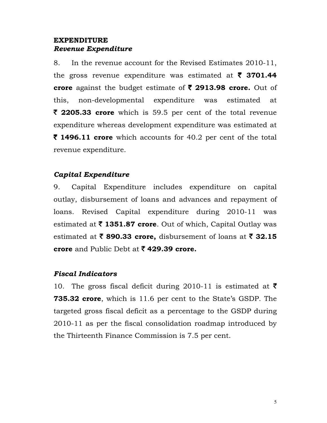# **EXPENDITURE** Revenue Expenditure

8. In the revenue account for the Revised Estimates 2010-11, the gross revenue expenditure was estimated at  $\bar{\tau}$  3701.44 crore against the budget estimate of  $\bar{\xi}$  2913.98 crore. Out of this. non-developmental expenditure was estimated at  $\bar{\tau}$  **2205.33 crore** which is 59.5 per cent of the total revenue expenditure whereas development expenditure was estimated at  $\bar{\tau}$  **1496.11 crore** which accounts for 40.2 per cent of the total revenue expenditure.

# Capital Expenditure

Capital Expenditure includes expenditure on capital 9. outlay, disbursement of loans and advances and repayment of loans. Revised Capital expenditure during 2010-11 was estimated at  $\bar{\tau}$  1351.87 crore. Out of which, Capital Outlay was estimated at  $\bar{\tau}$  890.33 crore, disbursement of loans at  $\bar{\tau}$  32.15 crore and Public Debt at ₹429.39 crore.

## **Fiscal Indicators**

10. The gross fiscal deficit during 2010-11 is estimated at  $\bar{\tau}$ 735.32 crore, which is 11.6 per cent to the State's GSDP. The targeted gross fiscal deficit as a percentage to the GSDP during 2010-11 as per the fiscal consolidation roadmap introduced by the Thirteenth Finance Commission is 7.5 per cent.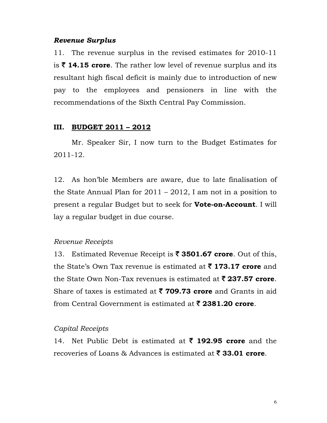### **Revenue Surplus**

11. The revenue surplus in the revised estimates for 2010-11 is  $\bar{\tau}$  14.15 crore. The rather low level of revenue surplus and its resultant high fiscal deficit is mainly due to introduction of new pay to the employees and pensioners in line with the recommendations of the Sixth Central Pay Commission.

## III. BUDGET 2011 - 2012

Mr. Speaker Sir, I now turn to the Budget Estimates for  $2011 - 12.$ 

12. As hon'ble Members are aware, due to late finalisation of the State Annual Plan for  $2011 - 2012$ , I am not in a position to present a regular Budget but to seek for **Vote-on-Account**. I will lay a regular budget in due course.

### Revenue Receipts

13. Estimated Revenue Receipt is  $\bar{\tau}$  3501.67 crore. Out of this, the State's Own Tax revenue is estimated at  $\bar{\tau}$  173.17 crore and the State Own Non-Tax revenues is estimated at  $\bar{\zeta}$  237.57 crore. Share of taxes is estimated at  $\bar{\tau}$  709.73 crore and Grants in aid from Central Government is estimated at  $\bar{\tau}$  2381.20 crore.

### Capital Receipts

14. Net Public Debt is estimated at  $\bar{\tau}$  192.95 crore and the recoveries of Loans & Advances is estimated at  $\bar{\tau}$  33.01 crore.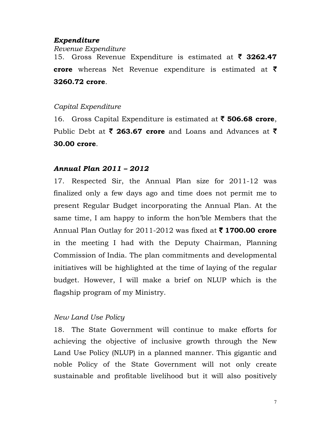# Expenditure

Revenue Expenditure 15. Gross Revenue Expenditure is estimated at  $\bar{\tau}$  3262.47 crore whereas Net Revenue expenditure is estimated at  $\bar{\tau}$ 3260.72 crore.

# Capital Expenditure

16. Gross Capital Expenditure is estimated at  $\bar{\tau}$  506.68 crore, Public Debt at  $\bar{\tau}$  263.67 crore and Loans and Advances at  $\bar{\tau}$ 30.00 crore.

# **Annual Plan 2011 - 2012**

17. Respected Sir, the Annual Plan size for 2011-12 was finalized only a few days ago and time does not permit me to present Regular Budget incorporating the Annual Plan. At the same time, I am happy to inform the hon'ble Members that the Annual Plan Outlay for 2011-2012 was fixed at  $\bar{\tau}$  1700.00 crore in the meeting I had with the Deputy Chairman, Planning Commission of India. The plan commitments and developmental initiatives will be highlighted at the time of laying of the regular budget. However, I will make a brief on NLUP which is the flagship program of my Ministry.

# New Land Use Policy

18. The State Government will continue to make efforts for achieving the objective of inclusive growth through the New Land Use Policy (NLUP) in a planned manner. This gigantic and noble Policy of the State Government will not only create sustainable and profitable livelihood but it will also positively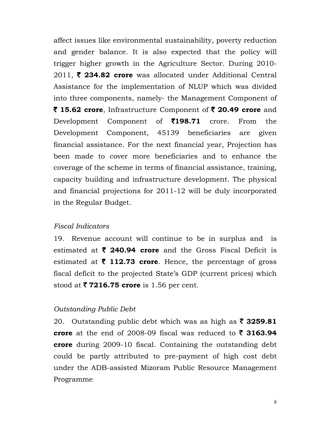affect issues like environmental sustainability, poverty reduction and gender balance. It is also expected that the policy will trigger higher growth in the Agriculture Sector. During 2010-2011, ₹ 234.82 crore was allocated under Additional Central Assistance for the implementation of NLUP which was divided into three components, namely- the Management Component of ₹ 15.62 crore, Infrastructure Component of ₹ 20.49 crore and of **₹198.71** Development Component crore. From the. Development Component, 45139 beneficiaries are given financial assistance. For the next financial year, Projection has been made to cover more beneficiaries and to enhance the coverage of the scheme in terms of financial assistance, training, capacity building and infrastructure development. The physical and financial projections for 2011-12 will be duly incorporated in the Regular Budget.

## **Fiscal Indicators**

19. Revenue account will continue to be in surplus and is estimated at  $\bar{\tau}$  240.94 crore and the Gross Fiscal Deficit is estimated at  $\bar{\tau}$  112.73 crore. Hence, the percentage of gross fiscal deficit to the projected State's GDP (current prices) which stood at  $\overline{\mathbf{z}}$  7216.75 crore is 1.56 per cent.

## **Outstanding Public Debt**

20. Outstanding public debt which was as high as  $\bar{\tau}$  3259.81 crore at the end of 2008-09 fiscal was reduced to  $\bar{\tau}$  3163.94 **crore** during 2009-10 fiscal. Containing the outstanding debt could be partly attributed to pre-payment of high cost debt under the ADB-assisted Mizoram Public Resource Management Programme.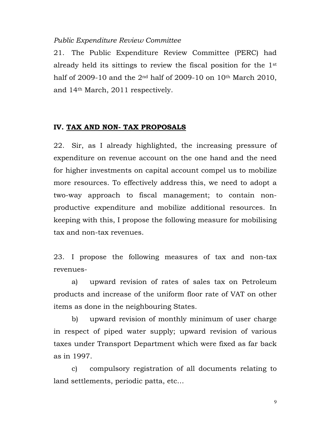### **Public Expenditure Review Committee**

21. The Public Expenditure Review Committee (PERC) had already held its sittings to review the fiscal position for the 1<sup>st</sup> half of 2009-10 and the  $2^{nd}$  half of 2009-10 on 10<sup>th</sup> March 2010, and 14<sup>th</sup> March, 2011 respectively.

## IV. TAX AND NON- TAX PROPOSALS

Sir, as I already highlighted, the increasing pressure of 22. expenditure on revenue account on the one hand and the need for higher investments on capital account compel us to mobilize more resources. To effectively address this, we need to adopt a two-way approach to fiscal management; to contain nonproductive expenditure and mobilize additional resources. In keeping with this, I propose the following measure for mobilising tax and non-tax revenues.

23. I propose the following measures of tax and non-tax revenues-

upward revision of rates of sales tax on Petroleum a) products and increase of the uniform floor rate of VAT on other items as done in the neighbouring States.

upward revision of monthly minimum of user charge b) in respect of piped water supply; upward revision of various taxes under Transport Department which were fixed as far back as in 1997.

c) compulsory registration of all documents relating to land settlements, periodic patta, etc...